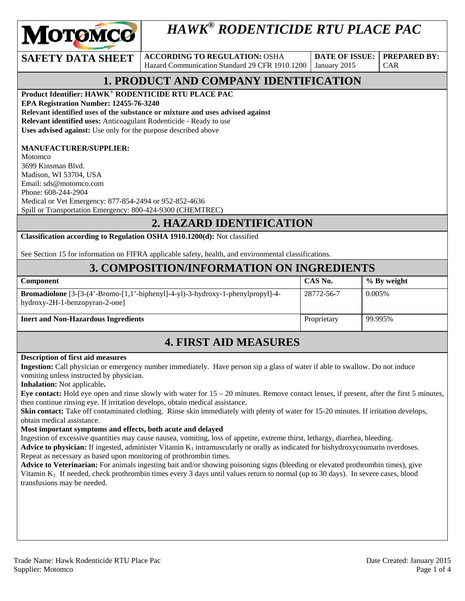

# *HAWK® RODENTICIDE RTU PLACE PAC*

**SAFETY DATA SHEET** ACCORDING TO REGULATION: OSHA Hazard Communication Standard 29 CFR 1910.1200

**DATE OF ISSUE:**  January 2015

**PREPARED BY:**  CAR

### **1. PRODUCT AND COMPANY IDENTIFICATION**

**Product Identifier: HAWK**® **RODENTICIDE RTU PLACE PAC** 

**EPA Registration Number: 12455-76-3240** 

**Relevant identified uses of the substance or mixture and uses advised against**

**Relevant identified uses:** Anticoagulant Rodenticide - Ready to use

**Uses advised against:** Use only for the purpose described above

#### **MANUFACTURER/SUPPLIER:**

Motomco 3699 Kinsman Blvd. Madison, WI 53704, USA Email: sds@motomco.com Phone: 608-244-2904 Medical or Vet Emergency: 877-854-2494 or 952-852-4636 Spill or Transportation Emergency: 800-424-9300 (CHEMTREC)

#### **2. HAZARD IDENTIFICATION**

**Classification according to Regulation OSHA 1910.1200(d):** Not classified

See Section 15 for information on FIFRA applicable safety, health, and environmental classifications.

#### **3. COMPOSITION/INFORMATION ON INGREDIENTS**

| <b>Component</b>                                                                                                                   | CAS No.     | % By weight |
|------------------------------------------------------------------------------------------------------------------------------------|-------------|-------------|
| <b>Bromadiolone</b> $[3-(4 \cdot Bromo-[1,1 \cdot bipheny]]-4-y] - 3-hydroxy-1-phenylpropyl]-4-$<br>hydroxy-2H-1-benzopyran-2-one] | 28772-56-7  | 0.005%      |
| <b>Inert and Non-Hazardous Ingredients</b>                                                                                         | Proprietary | 99.995%     |

### **4. FIRST AID MEASURES**

#### **Description of first aid measures**

**Ingestion:** Call physician or emergency number immediately. Have person sip a glass of water if able to swallow. Do not induce vomiting unless instructed by physician.

**Inhalation:** Not applicable**.** 

**Eye contact:** Hold eye open and rinse slowly with water for 15 – 20 minutes. Remove contact lenses, if present, after the first 5 minutes, then continue rinsing eye. If irritation develops, obtain medical assistance.

**Skin contact:** Take off contaminated clothing. Rinse skin immediately with plenty of water for 15-20 minutes. If irritation develops, obtain medical assistance.

#### **Most important symptoms and effects, both acute and delayed**

Ingestion of excessive quantities may cause nausea, vomiting, loss of appetite, extreme thirst, lethargy, diarrhea, bleeding.

**Advice to physician:** If ingested, administer Vitamin  $K_1$  intramuscularly or orally as indicated for bishydroxycoumarin overdoses. Repeat as necessary as based upon monitoring of prothrombin times.

**Advice to Veterinarian:** For animals ingesting bait and/or showing poisoning signs (bleeding or elevated prothrombin times), give Vitamin  $K_1$ . If needed, check prothrombin times every 3 days until values return to normal (up to 30 days). In severe cases, blood transfusions may be needed.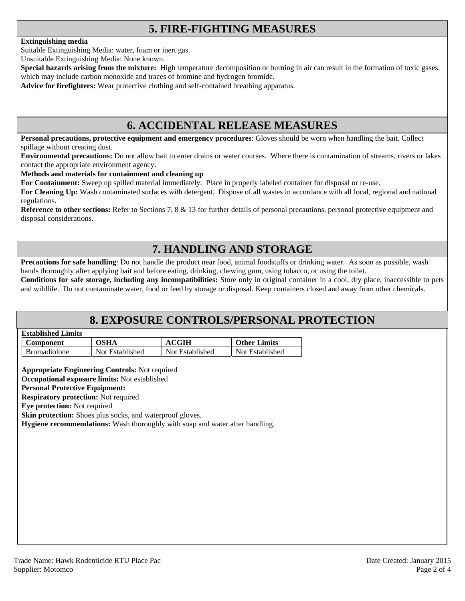### **5. FIRE-FIGHTING MEASURES**

#### **Extinguishing media**

Suitable Extinguishing Media: water, foam or inert gas.

Unsuitable Extinguishing Media: None known.

**Special hazards arising from the mixture:** High temperature decomposition or burning in air can result in the formation of toxic gases, which may include carbon monoxide and traces of bromine and hydrogen bromide.

**Advice for firefighters:** Wear protective clothing and self-contained breathing apparatus.

#### **6. ACCIDENTAL RELEASE MEASURES**

**Personal precautions, protective equipment and emergency procedures**: Gloves should be worn when handling the bait. Collect spillage without creating dust.

**Environmental precautions:** Do not allow bait to enter drains or water courses. Where there is contamination of streams, rivers or lakes contact the appropriate environment agency.

#### **Methods and materials for containment and cleaning up**

**For Containment:** Sweep up spilled material immediately. Place in properly labeled container for disposal or re-use.

**For Cleaning Up:** Wash contaminated surfaces with detergent. Dispose of all wastes in accordance with all local, regional and national regulations.

**Reference to other sections:** Refer to Sections 7, 8 & 13 for further details of personal precautions, personal protective equipment and disposal considerations.

### **7. HANDLING AND STORAGE**

**Precautions for safe handling**: Do not handle the product near food, animal foodstuffs or drinking water. As soon as possible, wash hands thoroughly after applying bait and before eating, drinking, chewing gum, using tobacco, or using the toilet.

**Conditions for safe storage, including any incompatibilities:** Store only in original container in a cool, dry place, inaccessible to pets and wildlife. Do not contaminate water, food or feed by storage or disposal. Keep containers closed and away from other chemicals.

#### **8. EXPOSURE CONTROLS/PERSONAL PROTECTION**

| <b>Established Limits</b> |  |
|---------------------------|--|
|                           |  |

| <b>Component</b>    | <b>NSETA</b>    | °CIH            | <b>Other Limits</b> |
|---------------------|-----------------|-----------------|---------------------|
| <b>Bromadiolone</b> | Not Established | Not Established | Not Established     |

**Appropriate Engineering Controls:** Not required

**Occupational exposure limits:** Not established

#### **Personal Protective Equipment:**

**Respiratory protection:** Not required

**Eye protection:** Not required

**Skin protection:** Shoes plus socks, and waterproof gloves.

**Hygiene recommendations:** Wash thoroughly with soap and water after handling.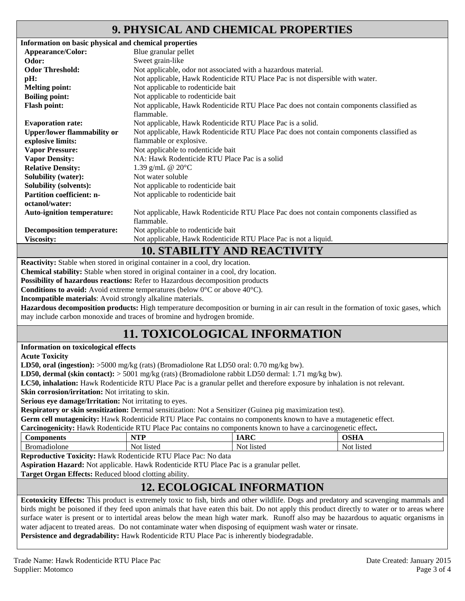### **9. PHYSICAL AND CHEMICAL PROPERTIES**

| Information on basic physical and chemical properties |                                                                                                        |
|-------------------------------------------------------|--------------------------------------------------------------------------------------------------------|
| Appearance/Color:                                     | Blue granular pellet                                                                                   |
| Odor:                                                 | Sweet grain-like                                                                                       |
| <b>Odor Threshold:</b>                                | Not applicable, odor not associated with a hazardous material.                                         |
| pH:                                                   | Not applicable, Hawk Rodenticide RTU Place Pac is not dispersible with water.                          |
| <b>Melting point:</b>                                 | Not applicable to rodenticide bait                                                                     |
| <b>Boiling point:</b>                                 | Not applicable to rodenticide bait                                                                     |
| <b>Flash point:</b>                                   | Not applicable, Hawk Rodenticide RTU Place Pac does not contain components classified as<br>flammable. |
| <b>Evaporation rate:</b>                              | Not applicable, Hawk Rodenticide RTU Place Pac is a solid.                                             |
| <b>Upper/lower flammability or</b>                    | Not applicable, Hawk Rodenticide RTU Place Pac does not contain components classified as               |
| explosive limits:                                     | flammable or explosive.                                                                                |
| <b>Vapor Pressure:</b>                                | Not applicable to rodenticide bait                                                                     |
| <b>Vapor Density:</b>                                 | NA: Hawk Rodenticide RTU Place Pac is a solid                                                          |
| <b>Relative Density:</b>                              | 1.39 g/mL @ $20^{\circ}$ C                                                                             |
| <b>Solubility (water):</b>                            | Not water soluble                                                                                      |
| <b>Solubility (solvents):</b>                         | Not applicable to rodenticide bait                                                                     |
| <b>Partition coefficient: n-</b>                      | Not applicable to rodenticide bait                                                                     |
| octanol/water:                                        |                                                                                                        |
| <b>Auto-ignition temperature:</b>                     | Not applicable, Hawk Rodenticide RTU Place Pac does not contain components classified as<br>flammable. |
| <b>Decomposition temperature:</b>                     | Not applicable to rodenticide bait                                                                     |
| <b>Viscosity:</b>                                     | Not applicable, Hawk Rodenticide RTU Place Pac is not a liquid.                                        |
|                                                       | <b>10. STABILITY AND REACTIVITY</b>                                                                    |
|                                                       | Reactivity: Stable when stored in original container in a cool, dry location.                          |
|                                                       | Chemical stability: Stable when stored in original container in a cool, dry location.                  |
|                                                       | Daasikiliku af kawandana maasikana. Daftu ta Hawandana daaanna aislan muudusta                         |

**Possibility of hazardous reactions:** Refer to Hazardous decomposition products **Conditions to avoid:** Avoid extreme temperatures (below 0°C or above 40°C).

**Incompatible materials**: Avoid strongly alkaline materials.

**Hazardous decomposition products:** High temperature decomposition or burning in air can result in the formation of toxic gases, which may include carbon monoxide and traces of bromine and hydrogen bromide.

### **11. TOXICOLOGICAL INFORMATION**

**Information on toxicological effects** 

**Acute Toxicity** 

**LD50, oral (ingestion):** >5000 mg/kg (rats) (Bromadiolone Rat LD50 oral: 0.70 mg/kg bw).

**LD50, dermal (skin contact):** > 5001 mg/kg (rats) (Bromadiolone rabbit LD50 dermal: 1.71 mg/kg bw).

**LC50, inhalation:** Hawk Rodenticide RTU Place Pac is a granular pellet and therefore exposure by inhalation is not relevant.

**Skin corrosion/irritation:** Not irritating to skin.

**Serious eye damage/Irritation:** Not irritating to eyes.

**Respiratory or skin sensitization:** Dermal sensitization: Not a Sensitizer (Guinea pig maximization test).

**Germ cell mutagenicity:** Hawk Rodenticide RTU Place Pac contains no components known to have a mutagenetic effect.

**Carcinogenicity:** Hawk Rodenticide RTU Place Pac contains no components known to have a carcinogenetic effect**.** 

| onents<br>$\sim$ | ITH.<br>. .<br>, |        | $\sim$ $\sim$ $\sim$ |
|------------------|------------------|--------|----------------------|
| nagiolone        | <b>listed</b>    | listec | <b>listed</b>        |
|                  | N <sub>O</sub>   | Not    | NOI                  |

**Reproductive Toxicity:** Hawk Rodenticide RTU Place Pac: No data

**Aspiration Hazard:** Not applicable. Hawk Rodenticide RTU Place Pac is a granular pellet.

**Target Organ Effects:** Reduced blood clotting ability.

## **12. ECOLOGICAL INFORMATION**

**Ecotoxicity Effects:** This product is extremely toxic to fish, birds and other wildlife. Dogs and predatory and scavenging mammals and birds might be poisoned if they feed upon animals that have eaten this bait. Do not apply this product directly to water or to areas where surface water is present or to intertidal areas below the mean high water mark. Runoff also may be hazardous to aquatic organisms in water adjacent to treated areas. Do not contaminate water when disposing of equipment wash water or rinsate. **Persistence and degradability:** Hawk Rodenticide RTU Place Pac is inherently biodegradable.